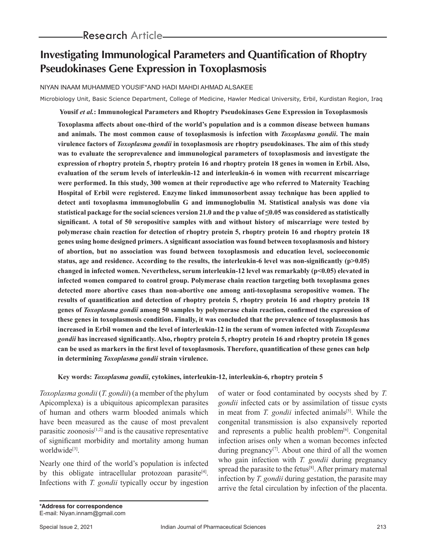# **Investigating Immunological Parameters and Quantification of Rhoptry Pseudokinases Gene Expression in Toxoplasmosis**

NIYAN INAAM MUHAMMED YOUSIF\*AND HADI MAHDI AHMAD ALSAKEE

Microbiology Unit, Basic Science Department, College of Medicine, Hawler Medical University, Erbil, Kurdistan Region, Iraq

**Yousif** *et al.***: Immunological Parameters and Rhoptry Pseudokinases Gene Expression in Toxoplasmosis**

**Toxoplasma affects about one-third of the world's population and is a common disease between humans and animals. The most common cause of toxoplasmosis is infection with** *Toxoplasma gondii***. The main virulence factors of** *Toxoplasma gondii* **in toxoplasmosis are rhoptry pseudokinases. The aim of this study was to evaluate the seroprevalence and immunological parameters of toxoplasmosis and investigate the expression of rhoptry protein 5, rhoptry protein 16 and rhoptry protein 18 genes in women in Erbil. Also, evaluation of the serum levels of interleukin-12 and interleukin-6 in women with recurrent miscarriage were performed. In this study, 300 women at their reproductive age who referred to Maternity Teaching Hospital of Erbil were registered. Enzyme linked immunosorbent assay technique has been applied to detect anti toxoplasma immunoglobulin G and immunoglobulin M. Statistical analysis was done via statistical package for the social sciences version 21.0 and the p value of ≤0.05 was considered as statistically significant. A total of 50 seropositive samples with and without history of miscarriage were tested by polymerase chain reaction for detection of rhoptry protein 5, rhoptry protein 16 and rhoptry protein 18 genes using home designed primers. A significant association was found between toxoplasmosis and history of abortion, but no association was found between toxoplasmosis and education level, socioeconomic**  status, age and residence. According to the results, the interleukin-6 level was non-significantly (p>0.05) **changed in infected women. Nevertheless, serum interleukin-12 level was remarkably (p<0.05) elevated in infected women compared to control group. Polymerase chain reaction targeting both toxoplasma genes detected more abortive cases than non-abortive one among anti-toxoplasma seropositive women. The results of quantification and detection of rhoptry protein 5, rhoptry protein 16 and rhoptry protein 18 genes of** *Toxoplasma gondii* **among 50 samples by polymerase chain reaction, confirmed the expression of these genes in toxoplasmosis condition. Finally, it was concluded that the prevalence of toxoplasmosis has increased in Erbil women and the level of interleukin-12 in the serum of women infected with** *Toxoplasma gondii* **has increased significantly. Also, rhoptry protein 5, rhoptry protein 16 and rhoptry protein 18 genes can be used as markers in the first level of toxoplasmosis. Therefore, quantification of these genes can help in determining** *Toxoplasma gondii* **strain virulence.**

## **Key words:** *Toxoplasma gondii***, cytokines, interleukin-12, interleukin-6, rhoptry protein 5**

*Toxoplasma gondii* (*T. gondii*) (a member of the phylum Apicomplexa) is a ubiquitous apicomplexan parasites of human and others warm blooded animals which have been measured as the cause of most prevalent parasitic zoonosis $[1,2]$  and is the causative representative of significant morbidity and mortality among human worldwide<sup>[3]</sup>.

Nearly one third of the world's population is infected by this obligate intracellular protozoan parasite<sup>[4]</sup>. Infections with *T. gondii* typically occur by ingestion of water or food contaminated by oocysts shed by *T. gondii* infected cats or by assimilation of tissue cysts in meat from *T. gondii* infected animals<sup>[5]</sup>. While the congenital transmission is also expansively reported and represents a public health problem<sup>[6]</sup>. Congenital infection arises only when a woman becomes infected during pregnancy<sup>[7]</sup>. About one third of all the women who gain infection with *T. gondii* during pregnancy spread the parasite to the fetus<sup>[8]</sup>. After primary maternal infection by *T. gondii* during gestation, the parasite may arrive the fetal circulation by infection of the placenta.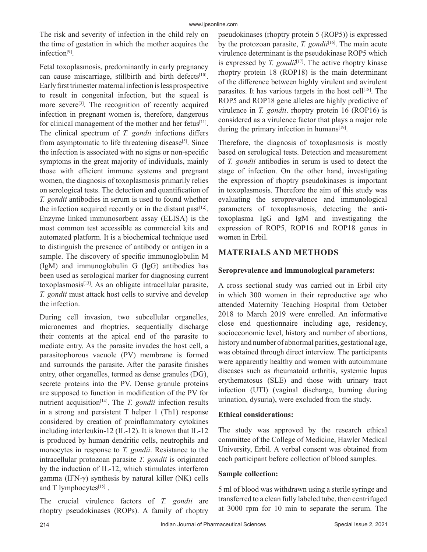The risk and severity of infection in the child rely on the time of gestation in which the mother acquires the infection[9].

Fetal toxoplasmosis, predominantly in early pregnancy can cause miscarriage, stillbirth and birth defects[10]. Early first trimester maternal infection is less prospective to result in congenital infection, but the squeal is more severe<sup>[3]</sup>. The recognition of recently acquired infection in pregnant women is, therefore, dangerous for clinical management of the mother and her fetus<sup>[11]</sup>. The clinical spectrum of *T. gondii* infections differs from asymptomatic to life threatening disease<sup>[5]</sup>. Since the infection is associated with no signs or non-specific symptoms in the great majority of individuals, mainly those with efficient immune systems and pregnant women, the diagnosis of toxoplasmosis primarily relies on serological tests. The detection and quantification of *T. gondii* antibodies in serum is used to found whether the infection acquired recently or in the distant past $[12]$ . Enzyme linked immunosorbent assay (ELISA) is the most common test accessible as commercial kits and automated platform. It is a biochemical technique used to distinguish the presence of antibody or antigen in a sample. The discovery of specific immunoglobulin M (IgM) and immunoglobulin G (IgG) antibodies has been used as serological marker for diagnosing current toxoplasmosis[13]. As an obligate intracellular parasite, *T. gondii* must attack host cells to survive and develop the infection.

During cell invasion, two subcellular organelles, micronemes and rhoptries, sequentially discharge their contents at the apical end of the parasite to mediate entry. As the parasite invades the host cell, a parasitophorous vacuole (PV) membrane is formed and surrounds the parasite. After the parasite finishes entry, other organelles, termed as dense granules (DG), secrete proteins into the PV. Dense granule proteins are supposed to function in modification of the PV for nutrient acquisition<sup>[14]</sup>. The *T. gondii* infection results in a strong and persistent T helper 1 (Th1) response considered by creation of proinflammatory cytokines including interleukin-12 (IL-12). It is known that IL-12 is produced by human dendritic cells, neutrophils and monocytes in response to *T. gondii*. Resistance to the intracellular protozoan parasite *T. gondii* is originated by the induction of IL-12, which stimulates interferon gamma (IFN-γ) synthesis by natural killer (NK) cells and T lymphocytes $[15]$ .

The crucial virulence factors of *T. gondii* are rhoptry pseudokinases (ROPs). A family of rhoptry

pseudokinases (rhoptry protein 5 (ROP5)) is expressed by the protozoan parasite, *T. gondii*<sup>[16]</sup>. The main acute virulence determinant is the pseudokinase ROP5 which is expressed by  $T$ . gondi $i$ <sup>[17]</sup>. The active rhoptry kinase rhoptry protein 18 (ROP18) is the main determinant of the difference between highly virulent and avirulent parasites. It has various targets in the host cell $[18]$ . The ROP5 and ROP18 gene alleles are highly predictive of virulence in *T. gondii*. rhoptry protein 16 (ROP16) is considered as a virulence factor that plays a major role during the primary infection in humans $[19]$ .

Therefore, the diagnosis of toxoplasmosis is mostly based on serological tests. Detection and measurement of *T. gondii* antibodies in serum is used to detect the stage of infection. On the other hand, investigating the expression of rhoptry pseudokinases is important in toxoplasmosis. Therefore the aim of this study was evaluating the seroprevalence and immunological parameters of toxoplasmosis, detecting the antitoxoplasma IgG and IgM and investigating the expression of ROP5, ROP16 and ROP18 genes in women in Erbil.

# **MATERIALS AND METHODS**

## **Seroprevalence and immunological parameters:**

A cross sectional study was carried out in Erbil city in which 300 women in their reproductive age who attended Maternity Teaching Hospital from October 2018 to March 2019 were enrolled. An informative close end questionnaire including age, residency, socioeconomic level, history and number of abortions, history and number of abnormal parities, gestational age, was obtained through direct interview. The participants were apparently healthy and women with autoimmune diseases such as rheumatoid arthritis, systemic lupus erythematosus (SLE) and those with urinary tract infection (UTI) (vaginal discharge, burning during urination, dysuria), were excluded from the study.

## **Ethical considerations:**

The study was approved by the research ethical committee of the College of Medicine, Hawler Medical University, Erbil. A verbal consent was obtained from each participant before collection of blood samples.

## **Sample collection:**

5 ml of blood was withdrawn using a sterile syringe and transferred to a clean fully labeled tube, then centrifuged at 3000 rpm for 10 min to separate the serum. The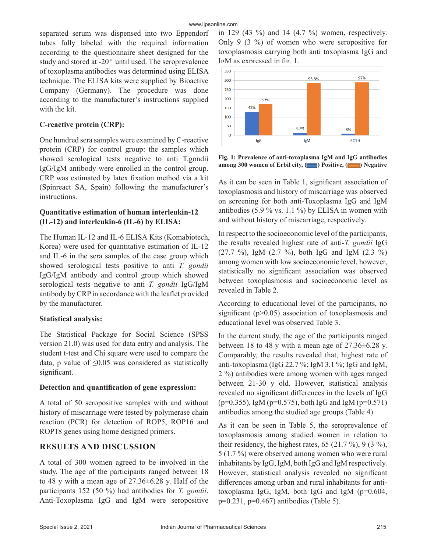separated serum was dispensed into two Eppendorf tubes fully labeled with the required information according to the questionnaire sheet designed for the study and stored at  $-20^\circ$  until used. The seroprevalence of toxoplasma antibodies was determined using ELISA technique. The ELISA kits were supplied by Bioactive Company (Germany). The procedure was done according to the manufacturer's instructions supplied with the kit.

### **C-reactive protein (CRP):**

One hundred sera samples were examined by C-reactive protein (CRP) for control group: the samples which showed serological tests negative to anti T.gondii IgG/IgM antibody were enrolled in the control group. CRP was estimated by latex fixation method via a kit (Spinreact SA, Spain) following the manufacturer's instructions.

## **Quantitative estimation of human interleukin-12 (IL-12) and interleukin-6 (IL-6) by ELISA:**

The Human IL-12 and IL-6 ELISA Kits (Komabiotech, Korea) were used for quantitative estimation of IL-12 and IL-6 in the sera samples of the case group which showed serological tests positive to anti *T. gondii* IgG/IgM antibody and control group which showed serological tests negative to anti *T. gondii* IgG/IgM antibody by CRP in accordance with the leaflet provided by the manufacturer.

## **Statistical analysis:**

The Statistical Package for Social Science (SPSS version 21.0) was used for data entry and analysis. The student t-test and Chi square were used to compare the data, p value of  $\leq 0.05$  was considered as statistically significant.

#### **Detection and quantification of gene expression:**

A total of 50 seropositive samples with and without history of miscarriage were tested by polymerase chain reaction (PCR) for detection of ROP5, ROP16 and ROP18 genes using home designed primers.

# **RESULTS AND DISCUSSION**

A total of 300 women agreed to be involved in the study. The age of the participants ranged between 18 to 48 y with a mean age of 27.36±6.28 y. Half of the participants 152 (50 %) had antibodies for *T. gondii*. Anti-Toxoplasma IgG and IgM were seropositive in 129 (43 %) and 14 (4.7 %) women, respectively. Only 9 (3 %) of women who were seropositive for toxoplasmosis carrying both anti toxoplasma IgG and IgM as expressed in fig. 1.



**Fig. 1: Prevalence of anti-toxoplasma IgM and IgG antibodies among 300 women of Erbil city, (Completely) Positive, (Complete Agents**) Negative

As it can be seen in Table 1, significant association of toxoplasmosis and history of miscarriage was observed on screening for both anti-Toxoplasma IgG and IgM antibodies (5.9 % vs. 1.1 %) by ELISA in women with and without history of miscarriage, respectively.

In respect to the socioeconomic level of the participants, the results revealed highest rate of anti-*T. gondii* IgG (27.7 %), IgM (2.7 %), both IgG and IgM (2.3 %) among women with low socioeconomic level, however, statistically no significant association was observed between toxoplasmosis and socioeconomic level as revealed in Table 2.

According to educational level of the participants, no significant (p>0.05) association of toxoplasmosis and educational level was observed Table 3.

In the current study, the age of the participants ranged between 18 to 48 y with a mean age of  $27.36\pm6.28$  y. Comparably, the results revealed that, highest rate of anti-toxoplasma (IgG 22.7 %; IgM 3.1 %; IgG and IgM, 2 %) antibodies were among women with ages ranged between 21-30 y old. However, statistical analysis revealed no significant differences in the levels of IgG  $(p=0.355)$ , IgM ( $p=0.575$ ), both IgG and IgM ( $p=0.571$ ) antibodies among the studied age groups (Table 4).

As it can be seen in Table 5, the seroprevalence of toxoplasmosis among studied women in relation to their residency, the highest rates, 65 (21.7 %), 9 (3 %), 5 (1.7 %) were observed among women who were rural inhabitants by IgG, IgM, both IgG and IgM respectively. However, statistical analysis revealed no significant differences among urban and rural inhabitants for antitoxoplasma IgG, IgM, both IgG and IgM (p=0.604, p=0.231, p=0.467) antibodies (Table 5).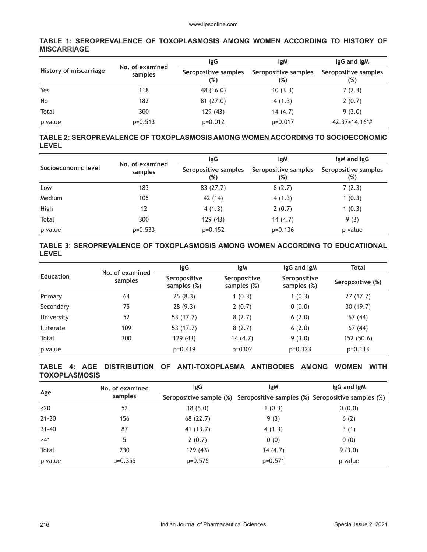## **TABLE 1: SEROPREVALENCE OF TOXOPLASMOSIS AMONG WOMEN ACCORDING TO HISTORY OF MISCARRIAGE**

|                        | No. of examined | lgG<br>lgM                  |                             | IgG and IgM                      |  |
|------------------------|-----------------|-----------------------------|-----------------------------|----------------------------------|--|
| History of miscarriage | samples         | Seropositive samples<br>(%) | Seropositive samples<br>(%) | Seropositive samples<br>$(\%)$   |  |
| Yes                    | 118             | 48 (16.0)                   | 10(3.3)                     | 7(2.3)                           |  |
| <b>No</b>              | 182             | 81(27.0)                    | 4(1.3)                      | 2(0.7)                           |  |
| Total                  | 300             | 129(43)                     | 14(4.7)                     | 9(3.0)                           |  |
| p value                | $p=0.513$       | $p=0.012$                   | $p=0.017$                   | $42.37 \pm 14.16$ <sup>*</sup> # |  |

## **TABLE 2: SEROPREVALENCE OF TOXOPLASMOSIS AMONG WOMEN ACCORDING TO SOCIOECONOMIC LEVEL**

|                     | No. of examined | IgG                         | lgM                         | IgM and IgG                 |  |
|---------------------|-----------------|-----------------------------|-----------------------------|-----------------------------|--|
| Socioeconomic level | samples         | Seropositive samples<br>(%) | Seropositive samples<br>(%) | Seropositive samples<br>(%) |  |
| Low                 | 183             | 83 (27.7)                   | 8(2.7)                      | 7(2.3)                      |  |
| Medium              | 105             | 42 (14)                     | 4(1.3)                      | 1(0.3)                      |  |
| High                | 12              | 4(1.3)                      | 2(0.7)                      | 1(0.3)                      |  |
| Total               | 300             | 129(43)                     | 14(4.7)                     | 9(3)                        |  |
| p value             | $p=0.533$       | $p=0.152$                   | $p=0.136$                   | p value                     |  |

## **TABLE 3: SEROPREVALENCE OF TOXOPLASMOSIS AMONG WOMEN ACCORDING TO EDUCATIIONAL LEVEL**

|                   | No. of examined | <b>IgM</b><br>lgG           |                             | IgG and IgM                 | Total            |  |
|-------------------|-----------------|-----------------------------|-----------------------------|-----------------------------|------------------|--|
| Education         | samples         | Seropositive<br>samples (%) | Seropositive<br>samples (%) | Seropositive<br>samples (%) | Seropositive (%) |  |
| Primary           | 64              | 25(8.3)                     | 1(0.3)                      | 1(0.3)                      | 27(17.7)         |  |
| Secondary         | 75              | 28(9.3)                     | 2(0.7)                      | 0(0.0)                      | 30 (19.7)        |  |
| University        | 52              | 53 (17.7)                   | 8(2.7)                      | 6(2.0)                      | 67 (44)          |  |
| <b>Illiterate</b> | 109             | 53 (17.7)                   | 8(2.7)                      | 6(2.0)                      | 67 (44)          |  |
| Total             | 300             | 129 (43)                    | 14(4.7)                     | 9(3.0)                      | 152 (50.6)       |  |
| p value           |                 | $p=0.419$                   | $p = 0302$                  | $p=0.123$                   | $p=0.113$        |  |

#### **TABLE 4: AGE DISTRIBUTION OF ANTI-TOXOPLASMA ANTIBODIES AMONG WOMEN WITH TOXOPLASMOSIS**

| Age       | No. of examined | lgG       | lgM                                                                       | lgG and lgM |  |
|-----------|-----------------|-----------|---------------------------------------------------------------------------|-------------|--|
|           | samples         |           | Seropositive sample (%) Seropositive samples (%) Seropositive samples (%) |             |  |
| $\leq$ 20 | 52              | 18(6.0)   | 1(0.3)                                                                    | 0(0.0)      |  |
| $21 - 30$ | 156             | 68 (22.7) | 9(3)                                                                      | 6(2)        |  |
| $31 - 40$ | 87              | 41 (13.7) | 4(1.3)                                                                    | 3(1)        |  |
| $\geq 41$ | 5               | 2(0.7)    | 0(0)                                                                      | 0(0)        |  |
| Total     | 230             | 129(43)   | 14(4.7)                                                                   | 9(3.0)      |  |
| p value   | $p=0.355$       | $p=0.575$ | $p=0.571$                                                                 | p value     |  |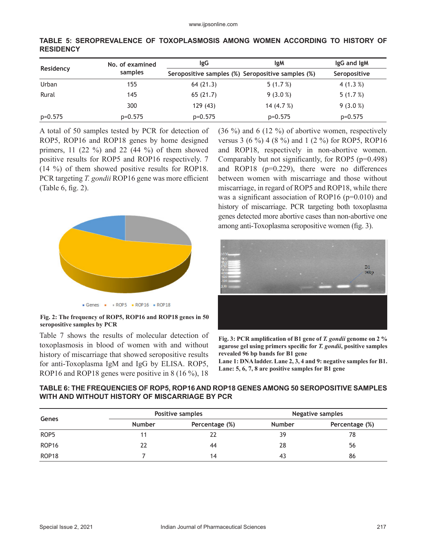|           | No. of examined | IgG                                               | lgM          |              |
|-----------|-----------------|---------------------------------------------------|--------------|--------------|
| Residency | samples         | Seropositive samples (%) Seropositive samples (%) |              | Seropositive |
| Urban     | 155             | 64(21.3)                                          | 5(1.7%)      | 4 $(1.3\%)$  |
| Rural     | 145             | 65(21.7)                                          | $9(3.0\%)$   | 5(1.7%)      |
|           | 300             | 129(43)                                           | 14 $(4.7\%)$ | $9(3.0\%)$   |
| $p=0.575$ | $p=0.575$       | $p=0.575$                                         | $p=0.575$    | $p=0.575$    |

**TABLE 5: SEROPREVALENCE OF TOXOPLASMOSIS AMONG WOMEN ACCORDING TO HISTORY OF RESIDENCY**

A total of 50 samples tested by PCR for detection of ROP5, ROP16 and ROP18 genes by home designed primers, 11  $(22 \%)$  and 22  $(44 \%)$  of them showed positive results for ROP5 and ROP16 respectively. 7 (14 %) of them showed positive results for ROP18. PCR targeting *T. gondii* ROP16 gene was more efficient (Table 6, fig. 2).



**Fig. 2: The frequency of ROP5, ROP16 and ROP18 genes in 50 seropositive samples by PCR** 

Table 7 shows the results of molecular detection of toxoplasmosis in blood of women with and without history of miscarriage that showed seropositive results for anti-Toxoplasma IgM and IgG by ELISA. ROP5, ROP16 and ROP18 genes were positive in 8 (16 %), 18

(36 %) and 6 (12 %) of abortive women, respectively versus 3 (6 %) 4 (8 %) and 1 (2 %) for ROP5, ROP16 and ROP18, respectively in non-abortive women. Comparably but not significantly, for ROP5 ( $p=0.498$ ) and ROP18 ( $p=0.229$ ), there were no differences between women with miscarriage and those without miscarriage, in regard of ROP5 and ROP18, while there was a significant association of ROP16 ( $p=0.010$ ) and history of miscarriage. PCR targeting both toxoplasma genes detected more abortive cases than non-abortive one among anti-Toxoplasma seropositive women (fig. 3).



**Fig. 3: PCR amplification of B1 gene of** *T. gondii* **genome on 2 % agarose gel using primers specific for** *T. gondii***, positive samples revealed 96 bp bands for B1 gene**

**Lane 1: DNA ladder. Lane 2, 3, 4 and 9: negative samples for B1. Lane: 5, 6, 7, 8 are positive samples for B1 gene** 

## **TABLE 6: THE FREQUENCIES OF ROP5, ROP16 AND ROP18 GENES AMONG 50 SEROPOSITIVE SAMPLES WITH AND WITHOUT HISTORY OF MISCARRIAGE BY PCR**

|                   | Positive samples |                | <b>Negative samples</b> |                |  |
|-------------------|------------------|----------------|-------------------------|----------------|--|
| Genes             | <b>Number</b>    | Percentage (%) | <b>Number</b>           | Percentage (%) |  |
| ROP <sub>5</sub>  | 11               |                | 39                      | 78             |  |
| ROP <sub>16</sub> | 22               | 44             | 28                      | 56             |  |
| ROP <sub>18</sub> |                  | 14             | 43                      | 86             |  |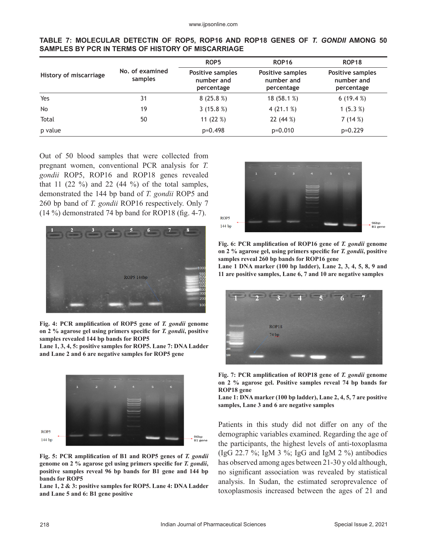|                        |                            | ROP <sub>5</sub>                             | <b>ROP16</b>                                 | <b>ROP18</b>                                        |
|------------------------|----------------------------|----------------------------------------------|----------------------------------------------|-----------------------------------------------------|
| History of miscarriage | No. of examined<br>samples | Positive samples<br>number and<br>percentage | Positive samples<br>number and<br>percentage | <b>Positive samples</b><br>number and<br>percentage |
| Yes                    | 31                         | 8(25.8%)                                     | 18 (58.1 %)                                  | 6(19.4%)                                            |
| <b>No</b>              | 19                         | 3 $(15.8\%)$                                 | 4 $(21.1\%)$                                 | 1 $(5.3 %)$                                         |
| Total                  | 50                         | 11 $(22%)$                                   | 22(44%)                                      | 7(14%)                                              |
| p value                |                            | $p=0.498$                                    | $p=0.010$                                    | $p=0.229$                                           |

**TABLE 7: MOLECULAR DETECTIN OF ROP5, ROP16 AND ROP18 GENES OF** *T. GONDII* **AMONG 50 SAMPLES BY PCR IN TERMS OF HISTORY OF MISCARRIAGE**

Out of 50 blood samples that were collected from pregnant women, conventional PCR analysis for *T. gondii* ROP5, ROP16 and ROP18 genes revealed that 11  $(22 \%)$  and 22  $(44 \%)$  of the total samples, demonstrated the 144 bp band of *T. gondii* ROP5 and 260 bp band of *T. gondii* ROP16 respectively. Only 7 (14 %) demonstrated 74 bp band for ROP18 (fig. 4-7).



**Fig. 4: PCR amplification of ROP5 gene of** *T. gondii* **genome on 2 % agarose gel using primers specific for** *T. gondii***, positive samples revealed 144 bp bands for ROP5** 

**Lane 1, 3, 4, 5: positive samples for ROP5. Lane 7: DNA Ladder and Lane 2 and 6 are negative samples for ROP5 gene**



**Fig. 5: PCR amplification of B1 and ROP5 genes of** *T. gondii* **genome on 2 % agarose gel using primers specific for** *T. gondii***, positive samples reveal 96 bp bands for B1 gene and 144 bp bands for ROP5** 

**Lane 1, 2 & 3: positive samples for ROP5. Lane 4: DNA Ladder and Lane 5 and 6: B1 gene positive**





**Lane 1 DNA marker (100 bp ladder), Lane 2, 3, 4, 5, 8, 9 and 11 are positive samples, Lane 6, 7 and 10 are negative samples**





**Lane 1: DNA marker (100 bp ladder), Lane 2, 4, 5, 7 are positive samples, Lane 3 and 6 are negative samples**

Patients in this study did not differ on any of the demographic variables examined. Regarding the age of the participants, the highest levels of anti-toxoplasma (IgG 22.7 %; IgM 3 %; IgG and IgM 2 %) antibodies has observed among ages between 21-30 y old although, no significant association was revealed by statistical analysis. In Sudan, the estimated seroprevalence of toxoplasmosis increased between the ages of 21 and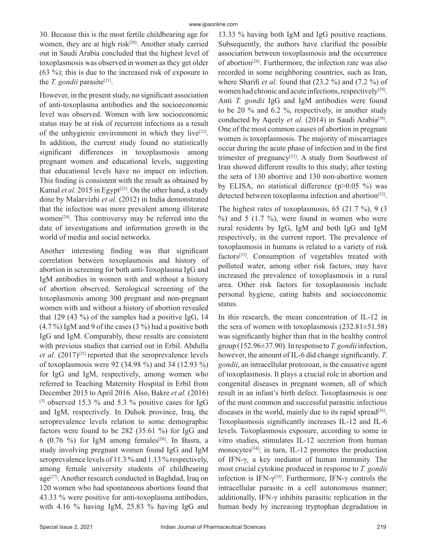30. Because this is the most fertile childbearing age for women, they are at high risk<sup>[20]</sup>. Another study carried out in Saudi Arabia concluded that the highest level of toxoplasmosis was observed in women as they get older (63 %); this is due to the increased risk of exposure to the *T. gondii* parasite<sup>[21]</sup>.

However, in the present study, no significant association of anti-toxoplasma antibodies and the socioeconomic level was observed. Women with low socioeconomic status may be at risk of recurrent infections as a result of the unhygienic environment in which they live<sup>[22]</sup>. In addition, the current study found no statistically significant differences in toxoplasmosis among pregnant women and educational levels, suggesting that educational levels have no impact on infection. This finding is consistent with the result as obtained by Kamal *et al.* 2015 in Egypt<sup>[23]</sup>. On the other hand, a study done by Malarvizhi *et al.* (2012) in India demonstrated that the infection was more prevalent among illiterate women[24]. This controversy may be referred into the date of investigations and information growth in the world of media and social networks.

Another interesting finding was that significant correlation between toxoplasmosis and history of abortion in screening for both anti-Toxoplasma IgG and IgM antibodies in women with and without a history of abortion observed. Serological screening of the toxoplasmosis among 300 pregnant and non-pregnant women with and without a history of abortion revealed that 129 (43 %) of the samples had a positive IgG, 14  $(4.7\%)$  IgM and 9 of the cases  $(3\%)$  had a positive both IgG and IgM. Comparably, these results are consistent with previous studies that carried out in Erbil. Abdulla et al. (2017)<sup>[25]</sup> reported that the seroprevalence levels of toxoplasmosis were 92 (34.98 %) and 34 (12.93 %) for IgG and IgM, respectively, among women who referred to Teaching Maternity Hospital in Erbil from December 2015 to April 2016. Also, Bakre *et al.* (2016) [3] observed 15.3 % and 5.3 % positive cases for IgG and IgM, respectively. In Duhok province, Iraq, the seroprevalence levels relation to some demographic factors were found to be 282 (35.61 %) for IgG and 6 (0.76 %) for IgM among females<sup>[26]</sup>. In Basra, a study involving pregnant women found IgG and IgM seroprevalence levels of 11.3 % and 1.13 % respectively, among female university students of childbearing age<sup>[27]</sup>. Another research conducted in Baghdad, Iraq on 120 women who had spontaneous abortions found that 43.33 % were positive for anti-toxoplasma antibodies, with 4.16 % having IgM, 25.83 % having IgG and

13.33 % having both IgM and IgG positive reactions. Subsequently, the authors have clarified the possible association between toxoplasmosis and the occurrence of abortion<sup>[28]</sup>. Furthermore, the infection rate was also recorded in some neighboring countries, such as Iran, where Sharifi *et al.* found that (23.2 %) and (7.2 %) of women had chronic and acute infections, respectively<sup>[29]</sup>. Anti *T. gondii* IgG and IgM antibodies were found to be 20 % and 6.2 %, respectively, in another study conducted by Aqeely *et al.* (2014) in Saudi Arabia<sup>[30]</sup>. One of the most common causes of abortion in pregnant women is toxoplasmosis. The majority of miscarriages occur during the acute phase of infection and in the first trimester of pregnancy[31]. A study from Southwest of Iran showed different results to this study; after testing the sera of 130 abortive and 130 non-abortive women by ELISA, no statistical difference (p>0.05 %) was detected between toxoplasma infection and abortion<sup>[32]</sup>.

The highest rates of toxoplasmosis, 65 (21.7 %), 9 (3  $%$ ) and 5 (1.7 %), were found in women who were rural residents by IgG, IgM and both IgG and IgM respectively, in the current report. The prevalence of toxoplasmosis in humans is related to a variety of risk factors[33]. Consumption of vegetables treated with polluted water, among other risk factors, may have increased the prevalence of toxoplasmosis in a rural area. Other risk factors for toxoplasmosis include personal hygiene, eating habits and socioeconomic status.

In this research, the mean concentration of IL-12 in the sera of women with toxoplasmosis  $(232.81 \pm 51.58)$ was significantly higher than that in the healthy control group (152.96±37.90). In response to *T. gondii* infection, however, the amount of IL-6 did change significantly. *T. gondii*, an intracellular protozoan, is the causative agent of toxoplasmosis. It plays a crucial role in abortion and congenital diseases in pregnant women, all of which result in an infant's birth defect. Toxoplasmosis is one of the most common and successful parasitic infectious diseases in the world, mainly due to its rapid spread<sup>[26]</sup>. Toxoplasmosis significantly increases IL-12 and IL-6 levels. Toxoplasmosis exposure, according to some in vitro studies, stimulates IL-12 secretion from human monocytes $[34]$ ; in turn, IL-12 promotes the production of IFN-γ, a key mediator of human immunity. The most crucial cytokine produced in response to *T. gondii* infection is IFN- $\gamma^{[35]}$ . Furthermore, IFN- $\gamma$  controls the intracellular parasite in a cell autonomous manner; additionally, IFN-γ inhibits parasitic replication in the human body by increasing tryptophan degradation in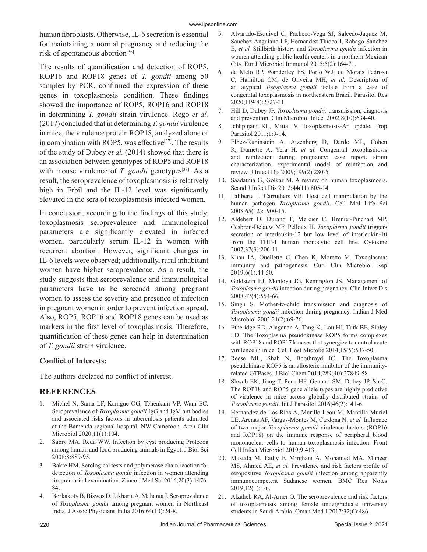human fibroblasts. Otherwise, IL-6 secretion is essential for maintaining a normal pregnancy and reducing the risk of spontaneous abortion<sup>[36]</sup>.

The results of quantification and detection of ROP5, ROP16 and ROP18 genes of *T. gondii* among 50 samples by PCR, confirmed the expression of these genes in toxoplasmosis condition. These findings showed the importance of ROP5, ROP16 and ROP18 in determining *T. gondii* strain virulence. Rego *et al.* (2017) concluded that in determining *T. gondii* virulence in mice, the virulence protein ROP18, analyzed alone or in combination with ROP5, was effective<sup>[37]</sup>. The results of the study of Dubey *et al.* (2014) showed that there is an association between genotypes of ROP5 and ROP18 with mouse virulence of *T. gondii* genotypes<sup>[38]</sup>. As a result, the seroprevalence of toxoplasmosis is relatively high in Erbil and the IL-12 level was significantly elevated in the sera of toxoplasmosis infected women.

In conclusion, according to the findings of this study, toxoplasmosis seroprevalence and immunological parameters are significantly elevated in infected women, particularly serum IL-12 in women with recurrent abortion. However, significant changes in IL-6 levels were observed; additionally, rural inhabitant women have higher seroprevalence. As a result, the study suggests that seroprevalence and immunological parameters have to be screened among pregnant women to assess the severity and presence of infection in pregnant women in order to prevent infection spread. Also, ROP5, ROP16 and ROP18 genes can be used as markers in the first level of toxoplasmosis. Therefore, quantification of these genes can help in determination of *T. gondii* strain virulence.

# **Conflict of Interests:**

The authors declared no conflict of interest.

# **REFERENCES**

- 1. Michel N, Sama LF, Kamgue OG, Tchenkam VP, Wam EC. Seroprevalence of *Toxoplasma gondii* IgG and IgM antibodies and associated risks factors in tuberculosis patients admitted at the Bamenda regional hospital, NW Cameroon. Arch Clin Microbiol 2020;11(1):104.
- 2. Sabry MA, Reda WW. Infection by cyst producing Protozoa among human and food producing animals in Egypt. J Biol Sci 2008;8:889-95.
- Bakre HM. Serological tests and polymerase chain reaction for detection of *Toxoplasma gondii* infection in women attending for premarital examination. Zanco J Med Sci 2016;20(3):1476- 84.
- 4. Borkakoty B, Biswas D, Jakharia A, Mahanta J. Seroprevalence of *Toxoplasma gondii* among pregnant women in Northeast India. J Assoc Physicians India 2016;64(10):24-8.
- 5. Alvarado-Esquivel C, Pacheco-Vega SJ, Salcedo-Jaquez M, Sanchez-Anguiano LF, Hernandez-Tinoco J, Rabago-Sanchez E, *et al.* Stillbirth history and *Toxoplasma gondii* infection in women attending public health centers in a northern Mexican City. Eur J Microbiol Immunol 2015;5(2):164-71.
- 6. de Melo RP, Wanderley FS, Porto WJ, de Morais Pedrosa C, Hamilton CM, de Oliveira MH, *et al.* Description of an atypical *Toxoplasma gondii* isolate from a case of congenital toxoplasmosis in northeastern Brazil. Parasitol Res 2020;119(8):2727-31.
- 7. Hill D, Dubey JP. *Toxoplasma gondii*: transmission, diagnosis and prevention. Clin Microbiol Infect 2002;8(10):634-40.
- 8. Ichhpujani RL, Mittal V. Toxoplasmosis-An update. Trop Parasitol 2011;1:9-14.
- 9. Elbez-Rubinstein A, Ajzenberg D, Darde ML, Cohen R, Dumetre A, Yera H, *et al.* Congenital toxoplasmosis and reinfection during pregnancy: case report, strain characterization, experimental model of reinfection and review. J Infect Dis 2009;199(2):280-5.
- 10. Saadatnia G, Golkar M. A review on human toxoplasmosis. Scand J Infect Dis 2012;44(11):805-14.
- 11. Laliberte J, Carruthers VB. Host cell manipulation by the human pathogen *Toxoplasma gondii*. Cell Mol Life Sci 2008;65(12):1900-15.
- 12. Aldebert D, Durand F, Mercier C, Brenier-Pinchart MP, Cesbron-Delauw MF, Pelloux H. *Toxoplasma gondii* triggers secretion of interleukin-12 but low level of interleukin-10 from the THP-1 human monocytic cell line. Cytokine 2007;37(3):206-11.
- 13. Khan IA, Ouellette C, Chen K, Moretto M. Toxoplasma: immunity and pathogenesis. Curr Clin Microbiol Rep 2019;6(1):44-50.
- 14. Goldstein EJ, Montoya JG, Remington JS. Management of *Toxoplasma gondii* infection during pregnancy. Clin Infect Dis 2008;47(4):554-66.
- 15. Singh S. Mother-to-child transmission and diagnosis of *Toxoplasma gondii* infection during pregnancy. Indian J Med Microbiol 2003;21(2):69-76.
- 16. Etheridge RD, Alaganan A, Tang K, Lou HJ, Turk BE, Sibley LD. The Toxoplasma pseudokinase ROP5 forms complexes with ROP18 and ROP17 kinases that synergize to control acute virulence in mice. Cell Host Microbe 2014;15(5):537-50.
- 17. Reese ML, Shah N, Boothroyd JC. The Toxoplasma pseudokinase ROP5 is an allosteric inhibitor of the immunityrelated GTPases. J Biol Chem 2014;289(40):27849-58.
- 18. Shwab EK, Jiang T, Pena HF, Gennari SM, Dubey JP, Su C. The ROP18 and ROP5 gene allele types are highly predictive of virulence in mice across globally distributed strains of *Toxoplasma gondii*. Int J Parasitol 2016;46(2):141-6.
- 19. Hernandez-de-Los-Rios A, Murillo-Leon M, Mantilla-Muriel LE, Arenas AF, Vargas-Montes M, Cardona N, *et al.* Influence of two major *Toxoplasma gondii* virulence factors (ROP16 and ROP18) on the immune response of peripheral blood mononuclear cells to human toxoplasmosis infection. Front Cell Infect Microbiol 2019;9:413.
- 20. Mustafa M, Fathy F, Mirghani A, Mohamed MA, Muneer MS, Ahmed AE, *et al.* Prevalence and risk factors profile of seropositive *Toxoplasma gondii* infection among apparently immunocompetent Sudanese women. BMC Res Notes 2019;12(1):1-6.
- 21. Alzaheb RA, Al-Amer O. The seroprevalence and risk factors of toxoplasmosis among female undergraduate university students in Saudi Arabia. Oman Med J 2017;32(6):486.